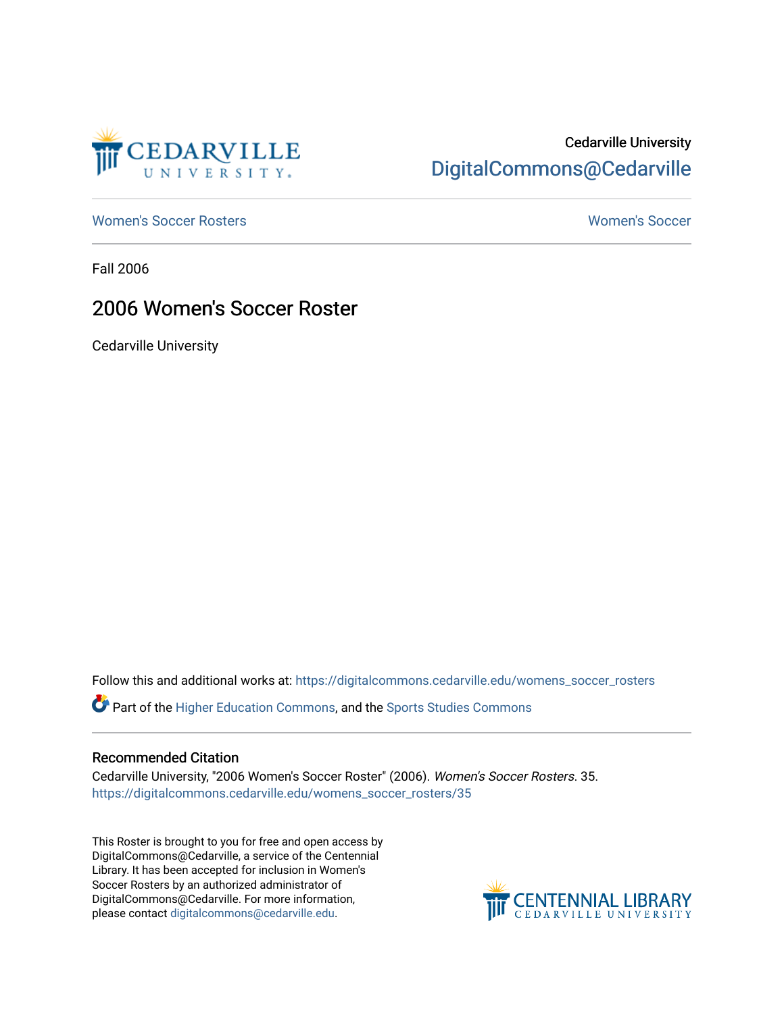

## Cedarville University [DigitalCommons@Cedarville](https://digitalcommons.cedarville.edu/)

[Women's Soccer Rosters](https://digitalcommons.cedarville.edu/womens_soccer_rosters) [Women's Soccer](https://digitalcommons.cedarville.edu/womens_soccer) 

Fall 2006

## 2006 Women's Soccer Roster

Cedarville University

Follow this and additional works at: [https://digitalcommons.cedarville.edu/womens\\_soccer\\_rosters](https://digitalcommons.cedarville.edu/womens_soccer_rosters?utm_source=digitalcommons.cedarville.edu%2Fwomens_soccer_rosters%2F35&utm_medium=PDF&utm_campaign=PDFCoverPages) 

Part of the [Higher Education Commons,](http://network.bepress.com/hgg/discipline/1245?utm_source=digitalcommons.cedarville.edu%2Fwomens_soccer_rosters%2F35&utm_medium=PDF&utm_campaign=PDFCoverPages) and the [Sports Studies Commons](http://network.bepress.com/hgg/discipline/1198?utm_source=digitalcommons.cedarville.edu%2Fwomens_soccer_rosters%2F35&utm_medium=PDF&utm_campaign=PDFCoverPages) 

#### Recommended Citation

Cedarville University, "2006 Women's Soccer Roster" (2006). Women's Soccer Rosters. 35. [https://digitalcommons.cedarville.edu/womens\\_soccer\\_rosters/35](https://digitalcommons.cedarville.edu/womens_soccer_rosters/35?utm_source=digitalcommons.cedarville.edu%2Fwomens_soccer_rosters%2F35&utm_medium=PDF&utm_campaign=PDFCoverPages)

This Roster is brought to you for free and open access by DigitalCommons@Cedarville, a service of the Centennial Library. It has been accepted for inclusion in Women's Soccer Rosters by an authorized administrator of DigitalCommons@Cedarville. For more information, please contact [digitalcommons@cedarville.edu](mailto:digitalcommons@cedarville.edu).